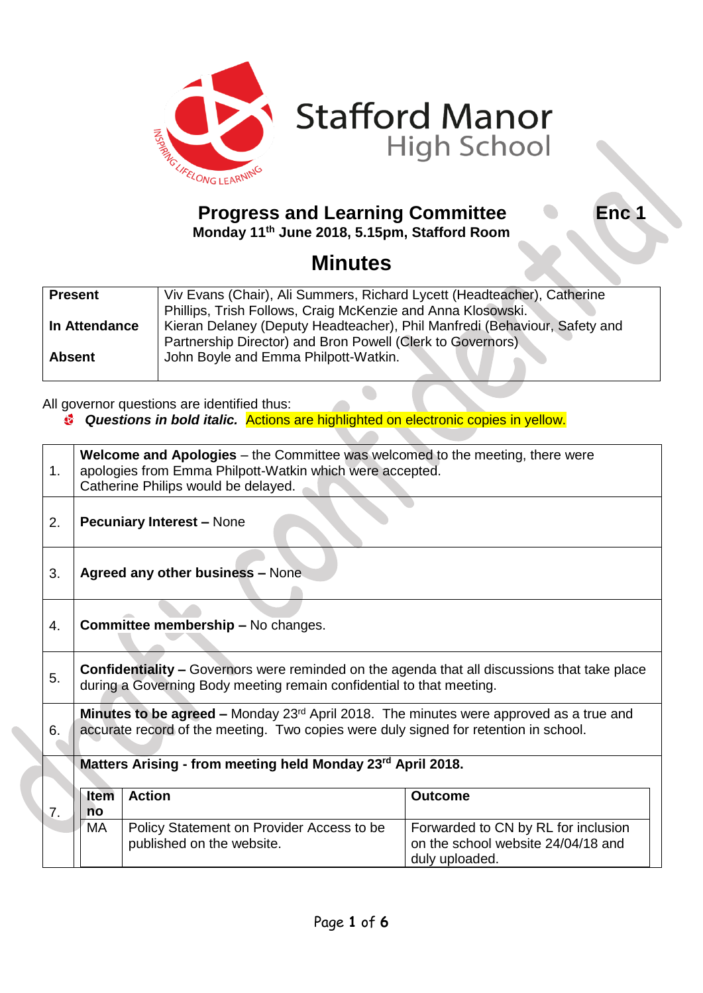



## **Progress and Learning Committee Carry Enc 1**

**Monday 11th June 2018, 5.15pm, Stafford Room**

**Minutes** 

| <b>Present</b> | Viv Evans (Chair), Ali Summers, Richard Lycett (Headteacher), Catherine   |
|----------------|---------------------------------------------------------------------------|
|                | Phillips, Trish Follows, Craig McKenzie and Anna Klosowski.               |
| In Attendance  | Kieran Delaney (Deputy Headteacher), Phil Manfredi (Behaviour, Safety and |
|                | Partnership Director) and Bron Powell (Clerk to Governors)                |
| <b>Absent</b>  | John Boyle and Emma Philpott-Watkin.                                      |
|                |                                                                           |

All governor questions are identified thus:

*Questions in bold italic.* Actions are highlighted on electronic copies in yellow.

| 1. | <b>Welcome and Apologies</b> – the Committee was welcomed to the meeting, there were<br>apologies from Emma Philpott-Watkin which were accepted.<br>Catherine Philips would be delayed.           |                                                                        |                                                                                             |
|----|---------------------------------------------------------------------------------------------------------------------------------------------------------------------------------------------------|------------------------------------------------------------------------|---------------------------------------------------------------------------------------------|
| 2. | <b>Pecuniary Interest - None</b>                                                                                                                                                                  |                                                                        |                                                                                             |
| 3. | Agreed any other business - None                                                                                                                                                                  |                                                                        |                                                                                             |
| 4. | <b>Committee membership - No changes.</b>                                                                                                                                                         |                                                                        |                                                                                             |
| 5. | <b>Confidentiality –</b> Governors were reminded on the agenda that all discussions that take place<br>during a Governing Body meeting remain confidential to that meeting.                       |                                                                        |                                                                                             |
| 6. | <b>Minutes to be agreed –</b> Monday 23 <sup>rd</sup> April 2018. The minutes were approved as a true and<br>accurate record of the meeting. Two copies were duly signed for retention in school. |                                                                        |                                                                                             |
|    | Matters Arising - from meeting held Monday 23rd April 2018.                                                                                                                                       |                                                                        |                                                                                             |
| 7. | Item<br>no                                                                                                                                                                                        | <b>Action</b>                                                          | <b>Outcome</b>                                                                              |
|    | MA.                                                                                                                                                                                               | Policy Statement on Provider Access to be<br>published on the website. | Forwarded to CN by RL for inclusion<br>on the school website 24/04/18 and<br>duly uploaded. |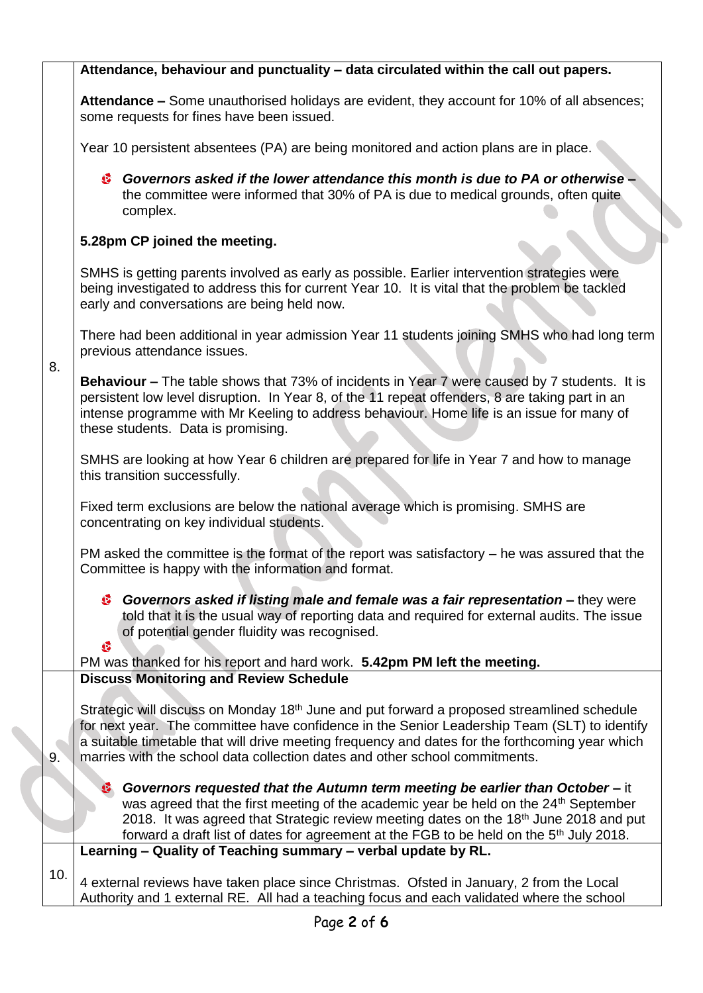|     | Attendance, behaviour and punctuality - data circulated within the call out papers.                                                                                                                                                                                                                                                                                                                 |  |  |
|-----|-----------------------------------------------------------------------------------------------------------------------------------------------------------------------------------------------------------------------------------------------------------------------------------------------------------------------------------------------------------------------------------------------------|--|--|
|     | Attendance - Some unauthorised holidays are evident, they account for 10% of all absences;<br>some requests for fines have been issued.                                                                                                                                                                                                                                                             |  |  |
|     | Year 10 persistent absentees (PA) are being monitored and action plans are in place.                                                                                                                                                                                                                                                                                                                |  |  |
|     | Governors asked if the lower attendance this month is due to PA or otherwise -<br>the committee were informed that 30% of PA is due to medical grounds, often quite<br>complex.                                                                                                                                                                                                                     |  |  |
|     | 5.28pm CP joined the meeting.                                                                                                                                                                                                                                                                                                                                                                       |  |  |
| 8.  | SMHS is getting parents involved as early as possible. Earlier intervention strategies were<br>being investigated to address this for current Year 10. It is vital that the problem be tackled<br>early and conversations are being held now.                                                                                                                                                       |  |  |
|     | There had been additional in year admission Year 11 students joining SMHS who had long term<br>previous attendance issues.                                                                                                                                                                                                                                                                          |  |  |
|     | <b>Behaviour –</b> The table shows that 73% of incidents in Year 7 were caused by 7 students. It is<br>persistent low level disruption. In Year 8, of the 11 repeat offenders, 8 are taking part in an<br>intense programme with Mr Keeling to address behaviour. Home life is an issue for many of<br>these students. Data is promising.                                                           |  |  |
|     | SMHS are looking at how Year 6 children are prepared for life in Year 7 and how to manage<br>this transition successfully.                                                                                                                                                                                                                                                                          |  |  |
|     | Fixed term exclusions are below the national average which is promising. SMHS are<br>concentrating on key individual students.                                                                                                                                                                                                                                                                      |  |  |
|     | PM asked the committee is the format of the report was satisfactory $-$ he was assured that the<br>Committee is happy with the information and format.                                                                                                                                                                                                                                              |  |  |
|     | Governors asked if listing male and female was a fair representation – they were<br>told that it is the usual way of reporting data and required for external audits. The issue<br>of potential gender fluidity was recognised.<br>G                                                                                                                                                                |  |  |
|     | PM was thanked for his report and hard work. 5.42pm PM left the meeting.                                                                                                                                                                                                                                                                                                                            |  |  |
|     | <b>Discuss Monitoring and Review Schedule</b>                                                                                                                                                                                                                                                                                                                                                       |  |  |
| 9.  | Strategic will discuss on Monday 18 <sup>th</sup> June and put forward a proposed streamlined schedule<br>for next year. The committee have confidence in the Senior Leadership Team (SLT) to identify<br>a suitable timetable that will drive meeting frequency and dates for the forthcoming year which<br>marries with the school data collection dates and other school commitments.            |  |  |
|     | Governors requested that the Autumn term meeting be earlier than October - it<br>G.<br>was agreed that the first meeting of the academic year be held on the 24 <sup>th</sup> September<br>2018. It was agreed that Strategic review meeting dates on the 18 <sup>th</sup> June 2018 and put<br>forward a draft list of dates for agreement at the FGB to be held on the 5 <sup>th</sup> July 2018. |  |  |
|     | Learning - Quality of Teaching summary - verbal update by RL.                                                                                                                                                                                                                                                                                                                                       |  |  |
| 10. | 4 external reviews have taken place since Christmas. Ofsted in January, 2 from the Local<br>Authority and 1 external RE. All had a teaching focus and each validated where the school                                                                                                                                                                                                               |  |  |

 $\overline{\phantom{0}}$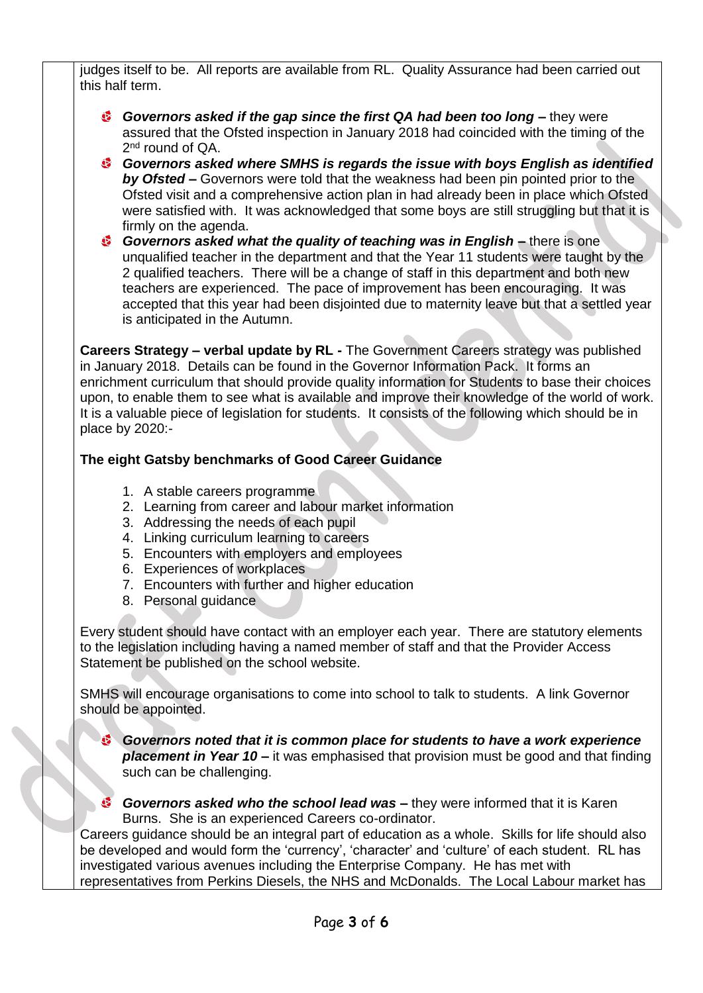judges itself to be. All reports are available from RL. Quality Assurance had been carried out this half term.

- *Governors asked if the gap since the first QA had been too long –* they were assured that the Ofsted inspection in January 2018 had coincided with the timing of the 2<sup>nd</sup> round of QA.
- *Governors asked where SMHS is regards the issue with boys English as identified by Ofsted –* Governors were told that the weakness had been pin pointed prior to the Ofsted visit and a comprehensive action plan in had already been in place which Ofsted were satisfied with. It was acknowledged that some boys are still struggling but that it is firmly on the agenda.
- *Governors asked what the quality of teaching was in English –* there is one unqualified teacher in the department and that the Year 11 students were taught by the 2 qualified teachers. There will be a change of staff in this department and both new teachers are experienced. The pace of improvement has been encouraging. It was accepted that this year had been disjointed due to maternity leave but that a settled year is anticipated in the Autumn.

**Careers Strategy – verbal update by RL -** The Government Careers strategy was published in January 2018. Details can be found in the Governor Information Pack. It forms an enrichment curriculum that should provide quality information for Students to base their choices upon, to enable them to see what is available and improve their knowledge of the world of work. It is a valuable piece of legislation for students. It consists of the following which should be in place by 2020:-

## **The eight Gatsby benchmarks of Good Career Guidance**

- 1. A stable careers programme
- 2. Learning from career and labour market information
- 3. Addressing the needs of each pupil
- 4. Linking curriculum learning to careers
- 5. Encounters with employers and employees
- 6. Experiences of workplaces
- 7. Encounters with further and higher education
- 8. Personal guidance

Every student should have contact with an employer each year. There are statutory elements to the legislation including having a named member of staff and that the Provider Access Statement be published on the school website.

SMHS will encourage organisations to come into school to talk to students. A link Governor should be appointed.

*Governors noted that it is common place for students to have a work experience placement in Year 10 –* it was emphasised that provision must be good and that finding such can be challenging.

*Governors asked who the school lead was –* they were informed that it is Karen Burns. She is an experienced Careers co-ordinator.

Careers guidance should be an integral part of education as a whole. Skills for life should also be developed and would form the 'currency', 'character' and 'culture' of each student. RL has investigated various avenues including the Enterprise Company. He has met with representatives from Perkins Diesels, the NHS and McDonalds. The Local Labour market has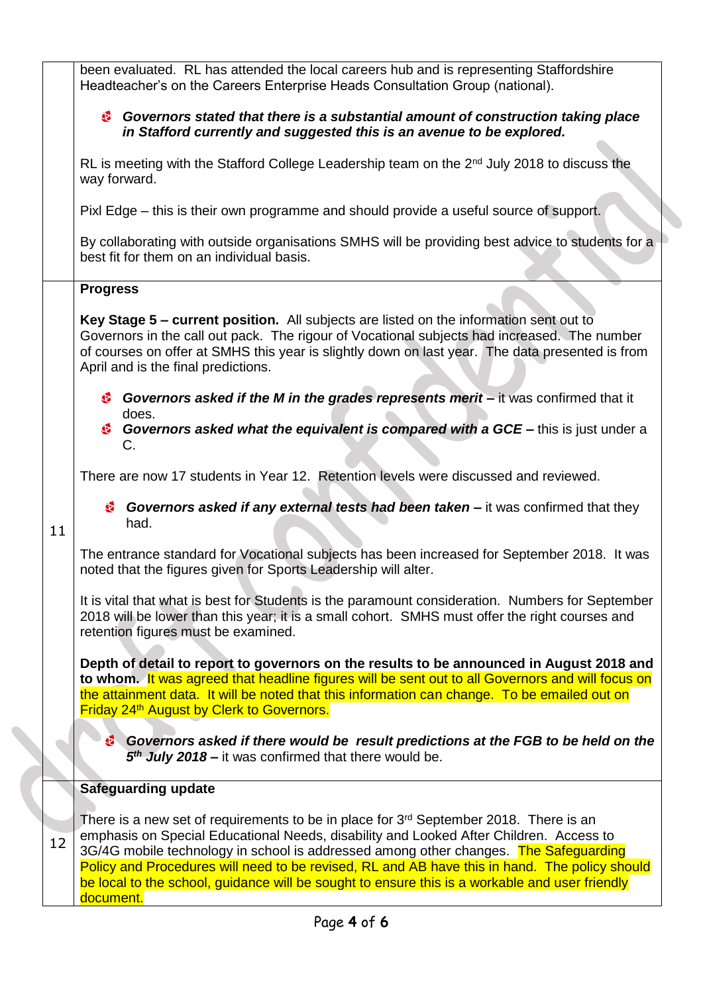|    | been evaluated. RL has attended the local careers hub and is representing Staffordshire<br>Headteacher's on the Careers Enterprise Heads Consultation Group (national).                                                                                                                                                                                                                                                                                                                             |  |  |  |
|----|-----------------------------------------------------------------------------------------------------------------------------------------------------------------------------------------------------------------------------------------------------------------------------------------------------------------------------------------------------------------------------------------------------------------------------------------------------------------------------------------------------|--|--|--|
|    | <sup>5</sup> Governors stated that there is a substantial amount of construction taking place<br>in Stafford currently and suggested this is an avenue to be explored.                                                                                                                                                                                                                                                                                                                              |  |  |  |
|    | RL is meeting with the Stafford College Leadership team on the 2 <sup>nd</sup> July 2018 to discuss the<br>way forward.                                                                                                                                                                                                                                                                                                                                                                             |  |  |  |
|    | Pixl Edge – this is their own programme and should provide a useful source of support.                                                                                                                                                                                                                                                                                                                                                                                                              |  |  |  |
|    | By collaborating with outside organisations SMHS will be providing best advice to students for a<br>best fit for them on an individual basis.                                                                                                                                                                                                                                                                                                                                                       |  |  |  |
|    | <b>Progress</b>                                                                                                                                                                                                                                                                                                                                                                                                                                                                                     |  |  |  |
|    | Key Stage 5 - current position. All subjects are listed on the information sent out to<br>Governors in the call out pack. The rigour of Vocational subjects had increased. The number<br>of courses on offer at SMHS this year is slightly down on last year. The data presented is from<br>April and is the final predictions.                                                                                                                                                                     |  |  |  |
|    | Governors asked if the M in the grades represents merit - it was confirmed that it<br>does.<br>Governors asked what the equivalent is compared with a GCE – this is just under a<br>$C_{\cdot}$                                                                                                                                                                                                                                                                                                     |  |  |  |
|    | There are now 17 students in Year 12. Retention levels were discussed and reviewed.                                                                                                                                                                                                                                                                                                                                                                                                                 |  |  |  |
| 11 | <b>Governors asked if any external tests had been taken –</b> it was confirmed that they<br>had.                                                                                                                                                                                                                                                                                                                                                                                                    |  |  |  |
|    | The entrance standard for Vocational subjects has been increased for September 2018. It was<br>noted that the figures given for Sports Leadership will alter.                                                                                                                                                                                                                                                                                                                                       |  |  |  |
|    | It is vital that what is best for Students is the paramount consideration. Numbers for September<br>2018 will be lower than this year; it is a small cohort. SMHS must offer the right courses and<br>retention figures must be examined.                                                                                                                                                                                                                                                           |  |  |  |
|    | Depth of detail to report to governors on the results to be announced in August 2018 and<br>to whom. It was agreed that headline figures will be sent out to all Governors and will focus on<br>the attainment data. It will be noted that this information can change. To be emailed out on<br>Friday 24 <sup>th</sup> August by Clerk to Governors.                                                                                                                                               |  |  |  |
|    | Governors asked if there would be result predictions at the FGB to be held on the<br>5 <sup>th</sup> July 2018 – it was confirmed that there would be.                                                                                                                                                                                                                                                                                                                                              |  |  |  |
|    | Safeguarding update                                                                                                                                                                                                                                                                                                                                                                                                                                                                                 |  |  |  |
| 12 | There is a new set of requirements to be in place for 3 <sup>rd</sup> September 2018. There is an<br>emphasis on Special Educational Needs, disability and Looked After Children. Access to<br>3G/4G mobile technology in school is addressed among other changes. The Safeguarding<br>Policy and Procedures will need to be revised, RL and AB have this in hand. The policy should<br>be local to the school, guidance will be sought to ensure this is a workable and user friendly<br>document. |  |  |  |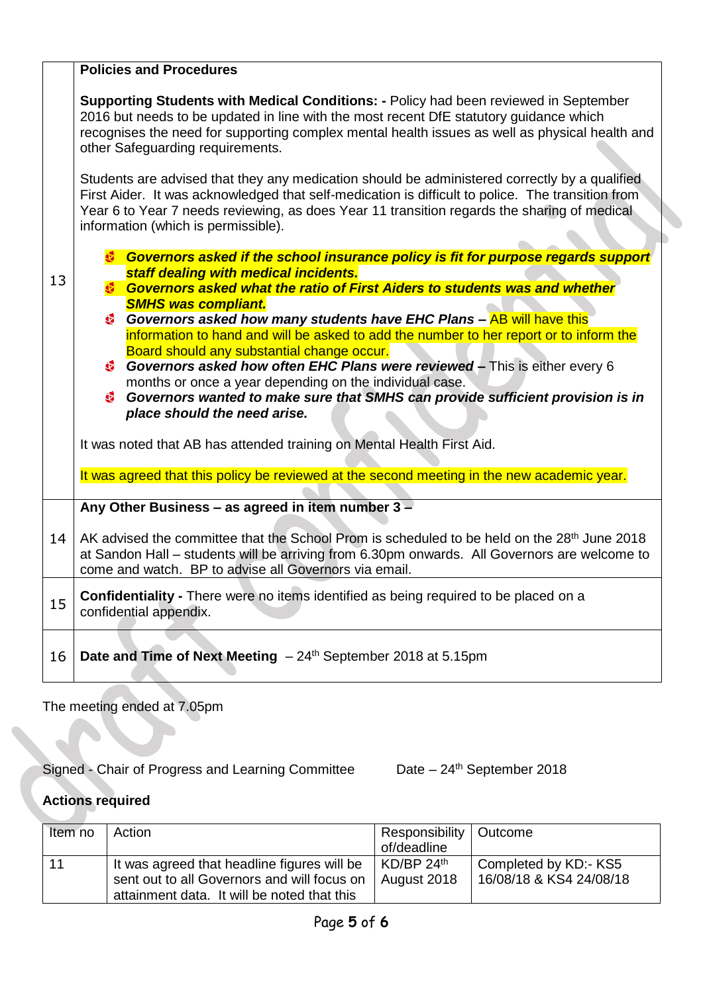|    | <b>Policies and Procedures</b>                                                                                                                                                                                                                                                                                                                                                                                                                                                                                                    |  |
|----|-----------------------------------------------------------------------------------------------------------------------------------------------------------------------------------------------------------------------------------------------------------------------------------------------------------------------------------------------------------------------------------------------------------------------------------------------------------------------------------------------------------------------------------|--|
|    | <b>Supporting Students with Medical Conditions:</b> - Policy had been reviewed in September<br>2016 but needs to be updated in line with the most recent DfE statutory guidance which<br>recognises the need for supporting complex mental health issues as well as physical health and<br>other Safeguarding requirements.<br>Students are advised that they any medication should be administered correctly by a qualified<br>First Aider. It was acknowledged that self-medication is difficult to police. The transition from |  |
|    | Year 6 to Year 7 needs reviewing, as does Year 11 transition regards the sharing of medical<br>information (which is permissible).                                                                                                                                                                                                                                                                                                                                                                                                |  |
|    | Governors asked if the school insurance policy is fit for purpose regards support                                                                                                                                                                                                                                                                                                                                                                                                                                                 |  |
| 13 | staff dealing with medical incidents.<br><b>Governors asked what the ratio of First Aiders to students was and whether</b><br>6                                                                                                                                                                                                                                                                                                                                                                                                   |  |
|    | <b>SMHS was compliant.</b><br>Governors asked how many students have EHC Plans - AB will have this                                                                                                                                                                                                                                                                                                                                                                                                                                |  |
|    | information to hand and will be asked to add the number to her report or to inform the<br>Board should any substantial change occur.                                                                                                                                                                                                                                                                                                                                                                                              |  |
|    | Governors asked how often EHC Plans were reviewed - This is either every 6<br>months or once a year depending on the individual case.                                                                                                                                                                                                                                                                                                                                                                                             |  |
|    | Governors wanted to make sure that SMHS can provide sufficient provision is in<br>place should the need arise.                                                                                                                                                                                                                                                                                                                                                                                                                    |  |
|    | It was noted that AB has attended training on Mental Health First Aid.                                                                                                                                                                                                                                                                                                                                                                                                                                                            |  |
|    | It was agreed that this policy be reviewed at the second meeting in the new academic year.                                                                                                                                                                                                                                                                                                                                                                                                                                        |  |
|    | Any Other Business - as agreed in item number 3 -                                                                                                                                                                                                                                                                                                                                                                                                                                                                                 |  |
| 14 | AK advised the committee that the School Prom is scheduled to be held on the 28 <sup>th</sup> June 2018<br>at Sandon Hall – students will be arriving from 6.30pm onwards. All Governors are welcome to<br>come and watch. BP to advise all Governors via email.                                                                                                                                                                                                                                                                  |  |
| 15 | Confidentiality - There were no items identified as being required to be placed on a<br>confidential appendix.                                                                                                                                                                                                                                                                                                                                                                                                                    |  |
| 16 | Date and Time of Next Meeting $-24th$ September 2018 at 5.15pm                                                                                                                                                                                                                                                                                                                                                                                                                                                                    |  |

The meeting ended at 7.05pm

Signed - Chair of Progress and Learning Committee Date – 24<sup>th</sup> September 2018

## **Actions required**

| Item no | Action                                                                                     | Responsibility   Outcome                |                                                  |
|---------|--------------------------------------------------------------------------------------------|-----------------------------------------|--------------------------------------------------|
|         |                                                                                            | of/deadline                             |                                                  |
| 11      | It was agreed that headline figures will be<br>sent out to all Governors and will focus on | $KD/BP$ 24 <sup>th</sup><br>August 2018 | Completed by KD:- KS5<br>16/08/18 & KS4 24/08/18 |
|         | attainment data. It will be noted that this                                                |                                         |                                                  |